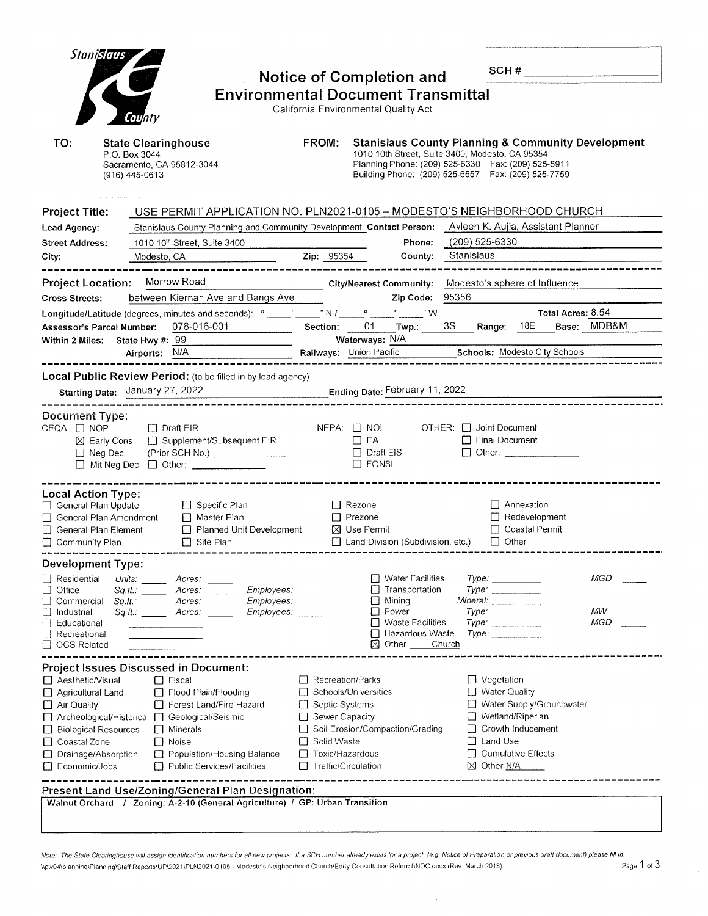| Stanislaus                                              |                                                                                                                                   |                               |                                                                                                                                                                                                                                                                                                                                                                                                |                |                                                |                   |             |  |  |
|---------------------------------------------------------|-----------------------------------------------------------------------------------------------------------------------------------|-------------------------------|------------------------------------------------------------------------------------------------------------------------------------------------------------------------------------------------------------------------------------------------------------------------------------------------------------------------------------------------------------------------------------------------|----------------|------------------------------------------------|-------------------|-------------|--|--|
|                                                         |                                                                                                                                   |                               | <b>Notice of Completion and</b>                                                                                                                                                                                                                                                                                                                                                                |                | SCH#                                           |                   |             |  |  |
|                                                         |                                                                                                                                   |                               |                                                                                                                                                                                                                                                                                                                                                                                                |                |                                                |                   |             |  |  |
| <b>Environmental Document Transmittal</b>               |                                                                                                                                   |                               |                                                                                                                                                                                                                                                                                                                                                                                                |                |                                                |                   |             |  |  |
| California Environmental Quality Act<br>County          |                                                                                                                                   |                               |                                                                                                                                                                                                                                                                                                                                                                                                |                |                                                |                   |             |  |  |
|                                                         |                                                                                                                                   |                               |                                                                                                                                                                                                                                                                                                                                                                                                |                |                                                |                   |             |  |  |
| TO:                                                     | <b>State Clearinghouse</b><br>P.O. Box 3044                                                                                       | FROM:                         | <b>Stanislaus County Planning &amp; Community Development</b><br>1010 10th Street, Suite 3400, Modesto, CA 95354                                                                                                                                                                                                                                                                               |                |                                                |                   |             |  |  |
|                                                         | Sacramento, CA 95812-3044                                                                                                         |                               | Planning Phone: (209) 525-6330  Fax: (209) 525-5911                                                                                                                                                                                                                                                                                                                                            |                |                                                |                   |             |  |  |
|                                                         | (916) 445-0613                                                                                                                    |                               | Building Phone: (209) 525-6557  Fax: (209) 525-7759                                                                                                                                                                                                                                                                                                                                            |                |                                                |                   |             |  |  |
|                                                         |                                                                                                                                   |                               |                                                                                                                                                                                                                                                                                                                                                                                                |                |                                                |                   |             |  |  |
| <b>Project Title:</b>                                   | USE PERMIT APPLICATION NO. PLN2021-0105 - MODESTO'S NEIGHBORHOOD CHURCH                                                           |                               |                                                                                                                                                                                                                                                                                                                                                                                                |                |                                                |                   |             |  |  |
| Lead Agency:                                            | Stanislaus County Planning and Community Development Contact Person: Avleen K. Aujla, Assistant Planner                           |                               |                                                                                                                                                                                                                                                                                                                                                                                                |                |                                                |                   |             |  |  |
| <b>Street Address:</b>                                  | 1010 10 <sup>th</sup> Street, Suite 3400                                                                                          |                               | Phone:                                                                                                                                                                                                                                                                                                                                                                                         | (209) 525-6330 |                                                |                   |             |  |  |
| City:                                                   | Modesto, CA                                                                                                                       | <b>Zip: 95354</b>             | County:                                                                                                                                                                                                                                                                                                                                                                                        | Stanislaus     |                                                |                   |             |  |  |
|                                                         |                                                                                                                                   |                               |                                                                                                                                                                                                                                                                                                                                                                                                |                |                                                |                   |             |  |  |
| <b>Project Location:</b>                                | Morrow Road                                                                                                                       |                               | <b>City/Nearest Community:</b>                                                                                                                                                                                                                                                                                                                                                                 |                | Modesto's sphere of Influence                  |                   |             |  |  |
| <b>Cross Streets:</b>                                   | between Kiernan Ave and Bangs Ave                                                                                                 |                               | Zip Code:                                                                                                                                                                                                                                                                                                                                                                                      | 95356          |                                                |                   |             |  |  |
|                                                         | Longitude/Latitude (degrees, minutes and seconds): $^{\circ}$ _____' _____" N / ___                                               |                               | $^{\prime}$ $^{\prime}$ $^{\prime}$ $^{\prime}$ $^{\prime}$ $^{\prime}$ $^{\prime}$ $^{\prime}$ $^{\prime}$ $^{\prime}$ $^{\prime}$ $^{\prime}$ $^{\prime}$ $^{\prime}$ $^{\prime}$ $^{\prime}$ $^{\prime}$ $^{\prime}$ $^{\prime}$ $^{\prime}$ $^{\prime}$ $^{\prime}$ $^{\prime}$ $^{\prime}$ $^{\prime}$ $^{\prime}$ $^{\prime}$ $^{\prime}$ $^{\prime}$ $^{\prime}$ $^{\prime}$ $^{\prime$ |                |                                                | Total Acres: 8.54 |             |  |  |
|                                                         | 078-016-001<br><b>Assessor's Parcel Number:</b><br>Within 2 Miles: State Hwy #: 99                                                | <b>Section:</b>               | 01<br>Twp.: $\frac{1}{2}$<br>Waterways: N/A                                                                                                                                                                                                                                                                                                                                                    | 3S             | 18E<br>Range:                                  |                   | Base: MDB&M |  |  |
|                                                         | Airports: N/A                                                                                                                     |                               | Railways: Union Pacific Schools: Modesto City Schools                                                                                                                                                                                                                                                                                                                                          |                |                                                |                   |             |  |  |
|                                                         |                                                                                                                                   |                               |                                                                                                                                                                                                                                                                                                                                                                                                |                |                                                |                   |             |  |  |
|                                                         | Local Public Review Period: (to be filled in by lead agency)                                                                      |                               |                                                                                                                                                                                                                                                                                                                                                                                                |                |                                                |                   |             |  |  |
|                                                         | Starting Date: January 27, 2022                                                                                                   |                               | Ending Date: February 11, 2022                                                                                                                                                                                                                                                                                                                                                                 |                |                                                |                   |             |  |  |
| <b>Document Type:</b>                                   |                                                                                                                                   |                               |                                                                                                                                                                                                                                                                                                                                                                                                |                |                                                |                   |             |  |  |
| CEQA: □ NOP                                             | $\Box$ Draft EIR                                                                                                                  | $NEPA:$ $\Box$ NOI            |                                                                                                                                                                                                                                                                                                                                                                                                |                | OTHER: <b>D</b> Joint Document                 |                   |             |  |  |
|                                                         | ⊠ Early Cons □ Supplement/Subsequent EIR                                                                                          |                               | $\Box$ EA                                                                                                                                                                                                                                                                                                                                                                                      |                | □ Final Document                               |                   |             |  |  |
|                                                         | $\Box$ Neg Dec<br>(Prior SCH No.) _________________                                                                               |                               | $\Box$ Draft EIS                                                                                                                                                                                                                                                                                                                                                                               |                | $\Box$ Other:                                  |                   |             |  |  |
|                                                         | Mit Neg Dec   Other: ____________                                                                                                 |                               | $\Box$ FONSI                                                                                                                                                                                                                                                                                                                                                                                   |                |                                                |                   |             |  |  |
|                                                         |                                                                                                                                   |                               |                                                                                                                                                                                                                                                                                                                                                                                                |                |                                                |                   |             |  |  |
| <b>Local Action Type:</b><br>$\Box$ General Plan Update | $\Box$ Specific Plan                                                                                                              |                               | $\Box$ Rezone                                                                                                                                                                                                                                                                                                                                                                                  |                | □ Annexation                                   |                   |             |  |  |
|                                                         | □ General Plan Amendment<br>$\Box$ Master Plan                                                                                    |                               | $\Box$ Prezone                                                                                                                                                                                                                                                                                                                                                                                 |                | $\Box$ Redevelopment                           |                   |             |  |  |
|                                                         | Planned Unit Development<br>General Plan Element                                                                                  |                               | $\boxtimes$ Use Permit                                                                                                                                                                                                                                                                                                                                                                         |                | □ Coastal Permit                               |                   |             |  |  |
| □ Community Plan                                        | $\Box$ Site Plan                                                                                                                  |                               | Land Division (Subdivision, etc.)                                                                                                                                                                                                                                                                                                                                                              |                | $\Box$ Other                                   |                   |             |  |  |
| <b>Development Type:</b>                                |                                                                                                                                   |                               |                                                                                                                                                                                                                                                                                                                                                                                                |                |                                                |                   |             |  |  |
| $\Box$ Residential                                      | Units: $\frac{1}{2}$<br>Acres:                                                                                                    |                               | □ Water Facilities                                                                                                                                                                                                                                                                                                                                                                             |                | $Type: \_\_$                                   |                   | MGD         |  |  |
| Office                                                  | Sq.H.:<br>Employees:<br>Acres:                                                                                                    |                               | Transportation                                                                                                                                                                                                                                                                                                                                                                                 |                | Type:                                          |                   |             |  |  |
| Commercial<br>$\Box$ Industrial                         | Employees:<br>Sq.ft.:<br>Acres:<br>$Sq.H.:$ Acres:<br>Employees:                                                                  |                               | $\Box$ Mining<br>$\Box$ Power                                                                                                                                                                                                                                                                                                                                                                  | Type:          | Mineral: ________                              |                   | MW          |  |  |
| Educational                                             |                                                                                                                                   |                               | □ Waste Facilities                                                                                                                                                                                                                                                                                                                                                                             |                | Type:                                          |                   | MGD         |  |  |
| Recreational                                            |                                                                                                                                   |                               | □ Hazardous Waste                                                                                                                                                                                                                                                                                                                                                                              |                | <i>Туре:</i> ____________                      |                   |             |  |  |
| <b>OCS Related</b>                                      |                                                                                                                                   |                               | $\boxtimes$ Other                                                                                                                                                                                                                                                                                                                                                                              | Church         |                                                |                   |             |  |  |
|                                                         | <b>Project Issues Discussed in Document:</b>                                                                                      |                               |                                                                                                                                                                                                                                                                                                                                                                                                |                |                                                |                   |             |  |  |
| □ Aesthetic/Visual                                      | $\Box$ Fiscal                                                                                                                     | □ Recreation/Parks            |                                                                                                                                                                                                                                                                                                                                                                                                |                | $\Box$ Vegetation                              |                   |             |  |  |
| Agricultural Land                                       | Flood Plain/Flooding                                                                                                              |                               | Schools/Universities                                                                                                                                                                                                                                                                                                                                                                           |                | $\Box$ Water Quality                           |                   |             |  |  |
| $\Box$ Air Quality                                      | Forest Land/Fire Hazard                                                                                                           | □ Septic Systems              |                                                                                                                                                                                                                                                                                                                                                                                                |                | Water Supply/Groundwater                       |                   |             |  |  |
|                                                         | □ Archeological/Historical □ Geological/Seismic<br>$\Box$ Minerals<br><b>Biological Resources</b>                                 | □ Sewer Capacity              | □ Soil Erosion/Compaction/Grading                                                                                                                                                                                                                                                                                                                                                              |                | □ Wetland/Riperian<br>$\Box$ Growth Inducement |                   |             |  |  |
| Coastal Zone                                            | $\Box$ Noise                                                                                                                      | Solid Waste                   |                                                                                                                                                                                                                                                                                                                                                                                                |                | $\Box$ Land Use                                |                   |             |  |  |
| Drainage/Absorption                                     | Population/Housing Balance                                                                                                        | □ Toxic/Hazardous             |                                                                                                                                                                                                                                                                                                                                                                                                |                | $\Box$ Cumulative Effects                      |                   |             |  |  |
| Economic/Jobs                                           | □ Public Services/Facilities                                                                                                      | Traffic/Circulation<br>$\Box$ |                                                                                                                                                                                                                                                                                                                                                                                                |                | $\boxtimes$ Other N/A                          |                   |             |  |  |
|                                                         |                                                                                                                                   |                               |                                                                                                                                                                                                                                                                                                                                                                                                |                |                                                |                   |             |  |  |
|                                                         | Present Land Use/Zoning/General Plan Designation:<br>Walnut Orchard / Zoning: A-2-10 (General Agriculture) / GP: Urban Transition |                               |                                                                                                                                                                                                                                                                                                                                                                                                |                |                                                |                   |             |  |  |
|                                                         |                                                                                                                                   |                               |                                                                                                                                                                                                                                                                                                                                                                                                |                |                                                |                   |             |  |  |
|                                                         |                                                                                                                                   |                               |                                                                                                                                                                                                                                                                                                                                                                                                |                |                                                |                   |             |  |  |

Note: The State Clearinghouse will assign identification numbers for all new projects. If a SCH number already exists for a project. (e.g. Notice of Preparation or previous draft document) please fill in. \\pw04\planning\Planning\StaffReports\UP\2021\PLN2021-0105 - Modesto's Neighborhood Church\Early Consultation Referral\NOC.docx (Rev March 2018) eage 1 of 3

 $\bar{z}$ 

ł

ł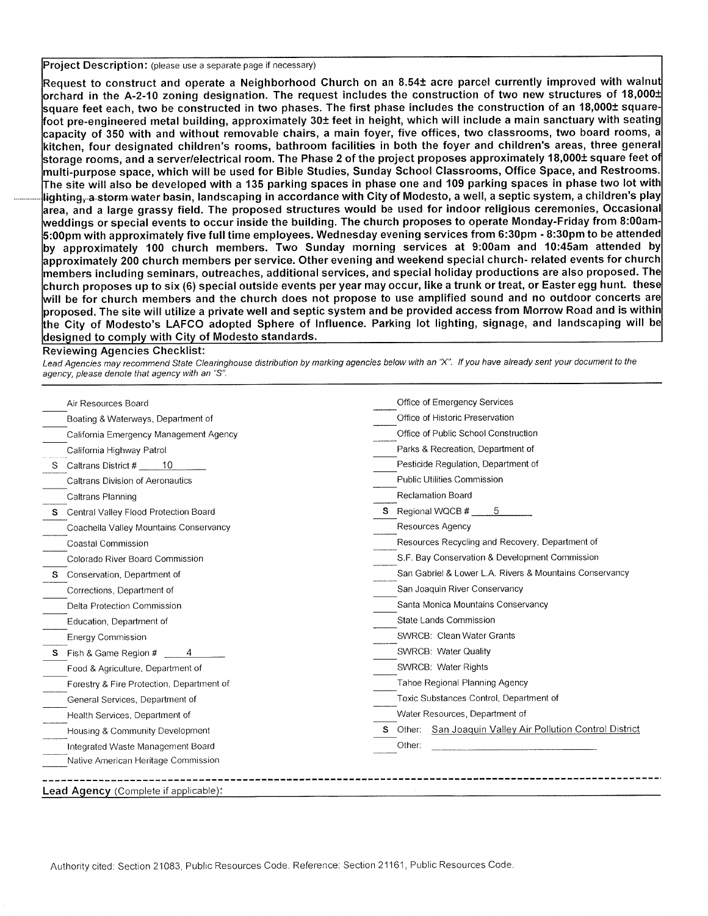Project Description: (please use a separate page if necessary)

Request to construct and operate a Neighborhood Church on an 8.54± acre parcel currently improved with walnut  $\sigma$ orchard in the A-2-10 zoning designation. The request includes the construction of two new structures of 18,000± square feet each, two be constructed in two phases. The first phase includes the construction of an 18,000± squarefoot pre-engineered metal building, approximately 30± feet in height, which will include a main sanctuary with seating storage rooms, and a server/electrical room. The Phase 2 of the project proposes approximately 18,000± square feet of ti-purpose space, which will be used for Bible Studies, Sunday School Classrooms, Office Space, and Restrooms The site will also be developed with a 135 parking spaces in phase one and 109 parking spaces in phase two lot with lighting, a storm water basin, landscaping in accordance with City of Modesto, a well, a septic system, a children's play and a large grassy field. The proposed structures would be used for indoor religious ceremonies, Occasiona dings or special events to occur inside the building. The church proposes to operate Monday-Friday from 8:00am  $5:00$ pm with approximately five full time employees. Wednesday evening services from 6:30pm - 8:30pm to be attended approximately 100 church members. Two Sunday morning services at 9:00am and 10:45am attended by church proposes up to six (6) special outside events per year may occur, like a trunk or treat, or Easter egg hunt. these will be for church members and the church does not propose to use amplified sound and no outdoor concerts are proposed. The site will utilize a private well and septic system and be provided access from Morrow Road and is within the City of Modesto's LAFCO adopted Sphere of Influence. Parking lot lighting, signage, and landscaping will be capacity of 350 with and without removable chairs, a main foyer, five offices, two classrooms, two board rooms, a kitchen, four designated children's rooms, bathroom facilities in both the foyer and children's areas, three general approximately 200 church members per service. Other evening and weekend special church- related events for church  $\,$ members including seminars, outreaches, additional services, and special holiday productions are also proposed. The esigned to comply with City of Modesto standards

## Reviewing Agencies Checklist:

Lead Agencies may recommend State Clearinghouse distribution by marking agencies below with an "X". If you have already sent your document to the agency, please denote that agency with an "5".

| Air Resources Board                       | Office of Emergency Services                                     |  |  |  |
|-------------------------------------------|------------------------------------------------------------------|--|--|--|
| Boating & Waterways, Department of        | Office of Historic Preservation                                  |  |  |  |
| California Emergency Management Agency    | Office of Public School Construction                             |  |  |  |
| California Highway Patrol                 | Parks & Recreation, Department of                                |  |  |  |
| 10<br>Caltrans District #                 | Pesticide Regulation, Department of                              |  |  |  |
| <b>Caltrans Division of Aeronautics</b>   | Public Utilities Commission                                      |  |  |  |
| Caltrans Planning                         | <b>Reclamation Board</b>                                         |  |  |  |
| Central Valley Flood Protection Board     | <b>S</b> Regional WQCB #<br>5                                    |  |  |  |
| Coachella Valley Mountains Conservancy    | Resources Agency                                                 |  |  |  |
| Coastal Commission                        | Resources Recycling and Recovery, Department of                  |  |  |  |
| Colorado River Board Commission           | S.F. Bay Conservation & Development Commission                   |  |  |  |
| Conservation, Department of               | San Gabriel & Lower L.A. Rivers & Mountains Conservancy          |  |  |  |
| Corrections, Department of                | San Joaquin River Conservancy                                    |  |  |  |
| Delta Protection Commission               | Santa Monica Mountains Conservancy                               |  |  |  |
| Education, Department of                  | State Lands Commission                                           |  |  |  |
| <b>Energy Commission</b>                  | SWRCB: Clean Water Grants                                        |  |  |  |
| Fish & Game Region #                      | SWRCB: Water Quality                                             |  |  |  |
| Food & Agriculture, Department of         | SWRCB: Water Rights                                              |  |  |  |
| Forestry & Fire Protection, Department of | <b>Tahoe Regional Planning Agency</b>                            |  |  |  |
| General Services, Department of           | Toxic Substances Control, Department of                          |  |  |  |
| Health Services, Department of            | Water Resources, Department of                                   |  |  |  |
| Housing & Community Development           | San Joaquin Valley Air Pollution Control District<br>s<br>Other: |  |  |  |
| Integrated Waste Management Board         | Other:                                                           |  |  |  |
| Native American Heritage Commission       |                                                                  |  |  |  |